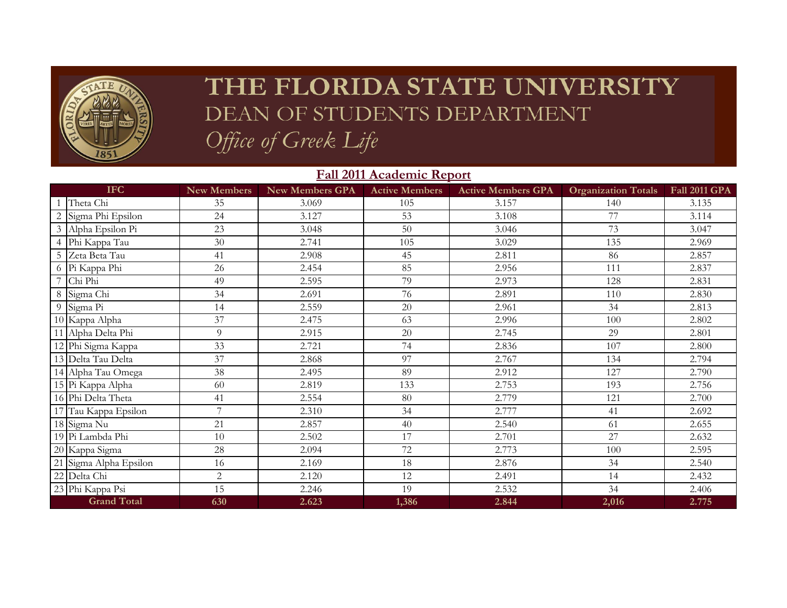

## THE FLORIDA STATE UNIVERSITY DEAN OF STUDENTS DEPARTMENT Office of Greek Life

|                | <b>Fall 2011 Academic Report</b> |                    |                 |                       |                           |                            |                      |  |
|----------------|----------------------------------|--------------------|-----------------|-----------------------|---------------------------|----------------------------|----------------------|--|
|                | <b>IFC</b>                       | <b>New Members</b> | New Members GPA | <b>Active Members</b> | <b>Active Members GPA</b> | <b>Organization Totals</b> | <b>Fall 2011 GPA</b> |  |
|                | Theta Chi                        | 35                 | 3.069           | 105                   | 3.157                     | 140                        | 3.135                |  |
|                | Sigma Phi Epsilon                | 24                 | 3.127           | 53                    | 3.108                     | 77                         | 3.114                |  |
| $\mathfrak{Z}$ | Alpha Epsilon Pi                 | 23                 | 3.048           | 50                    | 3.046                     | 73                         | 3.047                |  |
| $\overline{4}$ | Phi Kappa Tau                    | 30                 | 2.741           | 105                   | 3.029                     | 135                        | 2.969                |  |
| 5              | Zeta Beta Tau                    | 41                 | 2.908           | 45                    | 2.811                     | 86                         | 2.857                |  |
| 6              | Pi Kappa Phi                     | 26                 | 2.454           | 85                    | 2.956                     | 111                        | 2.837                |  |
|                | Chi Phi                          | 49                 | 2.595           | 79                    | 2.973                     | 128                        | 2.831                |  |
| 8              | Sigma Chi                        | 34                 | 2.691           | 76                    | 2.891                     | 110                        | 2.830                |  |
| 9              | Sigma Pi                         | 14                 | 2.559           | 20                    | 2.961                     | 34                         | 2.813                |  |
|                | 10 Kappa Alpha                   | 37                 | 2.475           | 63                    | 2.996                     | 100                        | 2.802                |  |
|                | 11 Alpha Delta Phi               | 9                  | 2.915           | 20                    | 2.745                     | 29                         | 2.801                |  |
|                | 12 Phi Sigma Kappa               | 33                 | 2.721           | 74                    | 2.836                     | 107                        | 2.800                |  |
|                | 13 Delta Tau Delta               | 37                 | 2.868           | 97                    | 2.767                     | 134                        | 2.794                |  |
|                | 14 Alpha Tau Omega               | 38                 | 2.495           | 89                    | 2.912                     | 127                        | 2.790                |  |
|                | 15 Pi Kappa Alpha                | 60                 | 2.819           | 133                   | 2.753                     | 193                        | 2.756                |  |
|                | 16 Phi Delta Theta               | 41                 | 2.554           | 80                    | 2.779                     | 121                        | 2.700                |  |
|                | 17 Tau Kappa Epsilon             | $\overline{7}$     | 2.310           | 34                    | 2.777                     | 41                         | 2.692                |  |
|                | 18 Sigma Nu                      | 21                 | 2.857           | 40                    | 2.540                     | 61                         | 2.655                |  |
|                | 19 Pi Lambda Phi                 | 10                 | 2.502           | 17                    | 2.701                     | 27                         | 2.632                |  |
|                | 20 Kappa Sigma                   | 28                 | 2.094           | 72                    | 2.773                     | 100                        | 2.595                |  |
|                | 21 Sigma Alpha Epsilon           | 16                 | 2.169           | 18                    | 2.876                     | 34                         | 2.540                |  |
|                | 22 Delta Chi                     | $\overline{2}$     | 2.120           | 12                    | 2.491                     | 14                         | 2.432                |  |
|                | 23 Phi Kappa Psi                 | 15                 | 2.246           | 19                    | 2.532                     | 34                         | 2.406                |  |
|                | <b>Grand Total</b>               | 630                | 2.623           | 1,386                 | 2.844                     | 2,016                      | 2.775                |  |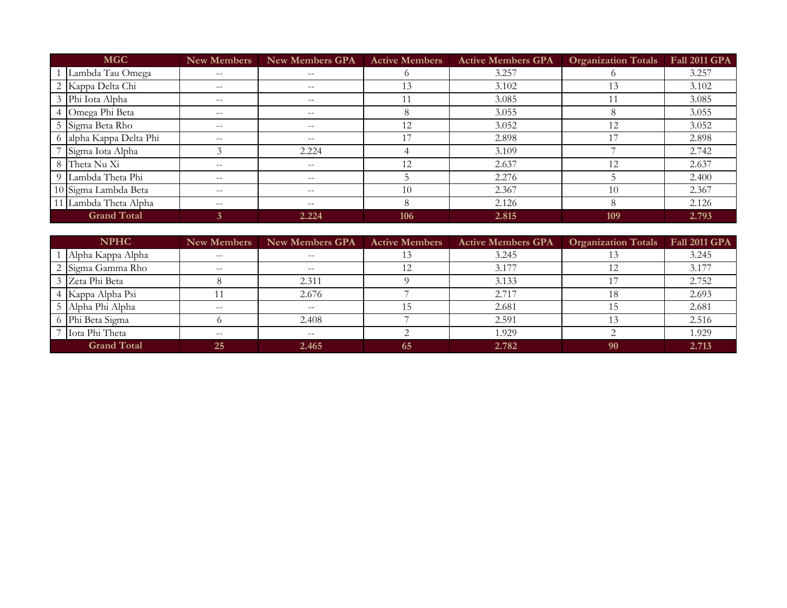|                    | <b>MGC</b>              | <b>New Members</b> | <b>New Members GPA</b>   | <b>Active Members</b> | <b>Active Members GPA</b> | <b>Organization Totals</b> | <b>Fall 2011 GPA</b> |
|--------------------|-------------------------|--------------------|--------------------------|-----------------------|---------------------------|----------------------------|----------------------|
|                    | Lambda Tau Omega        | $- -$              | $- -$                    | $\Omega$              | 3.257                     |                            | 3.257                |
|                    | 2 Kappa Delta Chi       | $- -$              | $\qquad \qquad -$        | 13                    | 3.102                     | 13                         | 3.102                |
|                    | 3 Phi Iota Alpha        | $- -$              | $- -$                    |                       | 3.085                     |                            | 3.085                |
|                    | 4 Omega Phi Beta        | $\qquad \qquad -$  | $--$                     | 8                     | 3.055                     | Y.                         | 3.055                |
|                    | 5 Sigma Beta Rho        | $- -$              | $- -$                    | 12                    | 3.052                     | 12                         | 3.052                |
|                    | 6 alpha Kappa Delta Phi | $- -$              | $\qquad \qquad -$        |                       | 2.898                     | 17                         | 2.898                |
|                    | Sigma Iota Alpha        | 3                  | 2.224                    |                       | 3.109                     |                            | 2.742                |
|                    | 8 Theta Nu Xi           | $- -$              | $--$                     | 12                    | 2.637                     | 12                         | 2.637                |
|                    | 9 Lambda Theta Phi      | $- -$              | $\overline{\phantom{a}}$ |                       | 2.276                     |                            | 2.400                |
|                    | 10 Sigma Lambda Beta    | $- -$              | $- -$                    | 10                    | 2.367                     | 10                         | 2.367                |
|                    | 11 Lambda Theta Alpha   | $- -$              | $\qquad \qquad -$        | 8                     | 2.126                     |                            | 2.126                |
| <b>Grand Total</b> |                         | 3                  | 2.224                    | 106                   | 2.815                     | 109                        | 2.793                |

| <b>NPHC</b> |                    | <b>New Members</b>                                  | <b>New Members GPA</b>                              | <b>Active Members</b> | <b>Active Members GPA</b> | <b>Organization Totals</b> | <b>Fall 2011 GPA</b> |
|-------------|--------------------|-----------------------------------------------------|-----------------------------------------------------|-----------------------|---------------------------|----------------------------|----------------------|
|             | Alpha Kappa Alpha  | $--$                                                | $\qquad \qquad -$                                   |                       | 3.245                     |                            | 3.245                |
|             | 2 Sigma Gamma Rho  | $\hspace{0.05cm} -\hspace{0.05cm} -\hspace{0.05cm}$ | $\overline{\phantom{m}}$                            |                       | 3.177                     |                            | 3.177                |
|             | 3 Zeta Phi Beta    |                                                     | 2.311                                               |                       | 3.133                     |                            | 2.752                |
|             | 4 Kappa Alpha Psi  |                                                     | 2.676                                               |                       | 2.717                     |                            | 2.693                |
|             | 5 Alpha Phi Alpha  | $\hspace{0.05cm} -\hspace{0.05cm} -\hspace{0.05cm}$ | $\hspace{0.05cm} -\hspace{0.05cm} -\hspace{0.05cm}$ |                       | 2.681                     |                            | 2.681                |
|             | 6 Phi Beta Sigma   |                                                     | 2.408                                               |                       | 2.591                     |                            | 2.516                |
|             | Iota Phi Theta     | $- -$                                               | $\overline{\phantom{m}}$                            |                       | 1.929                     |                            | 1.929                |
|             | <b>Grand Total</b> | 25                                                  | 2.465                                               | 65                    | 2.782                     | 90                         | 2.713                |